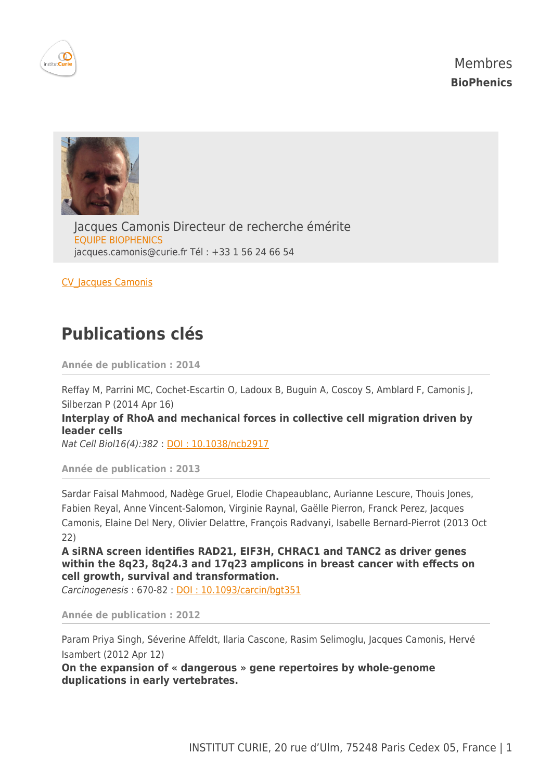





Jacques Camonis Directeur de recherche émérite EQUIPE BIOPHENICS [jacques.camonis@curie.fr](mailto:jacques.camonis@curie.fr) Tél : +33 1 56 24 66 54

[CV\\_Jacques Camonis](https://science.curie.fr/wp-content/uploads/2016/02/cv_JC.pdf)

## **Publications clés**

**Année de publication : 2014**

Reffay M, Parrini MC, Cochet-Escartin O, Ladoux B, Buguin A, Coscoy S, Amblard F, Camonis J, Silberzan P (2014 Apr 16) **Interplay of RhoA and mechanical forces in collective cell migration driven by**

**leader cells**

Nat Cell Biol16(4):382 : [DOI : 10.1038/ncb2917](http://dx.doi.org/10.1038/ncb2917)

**Année de publication : 2013**

Sardar Faisal Mahmood, Nadège Gruel, Elodie Chapeaublanc, Aurianne Lescure, Thouis Jones, Fabien Reyal, Anne Vincent-Salomon, Virginie Raynal, Gaëlle Pierron, Franck Perez, Jacques Camonis, Elaine Del Nery, Olivier Delattre, François Radvanyi, Isabelle Bernard-Pierrot (2013 Oct 22)

**A siRNA screen identifies RAD21, EIF3H, CHRAC1 and TANC2 as driver genes within the 8q23, 8q24.3 and 17q23 amplicons in breast cancer with effects on cell growth, survival and transformation.**

Carcinogenesis : 670-82 : [DOI : 10.1093/carcin/bgt351](http://dx.doi.org/10.1093/carcin/bgt351)

**Année de publication : 2012**

Param Priya Singh, Séverine Affeldt, Ilaria Cascone, Rasim Selimoglu, Jacques Camonis, Hervé Isambert (2012 Apr 12)

**On the expansion of « dangerous » gene repertoires by whole-genome duplications in early vertebrates.**